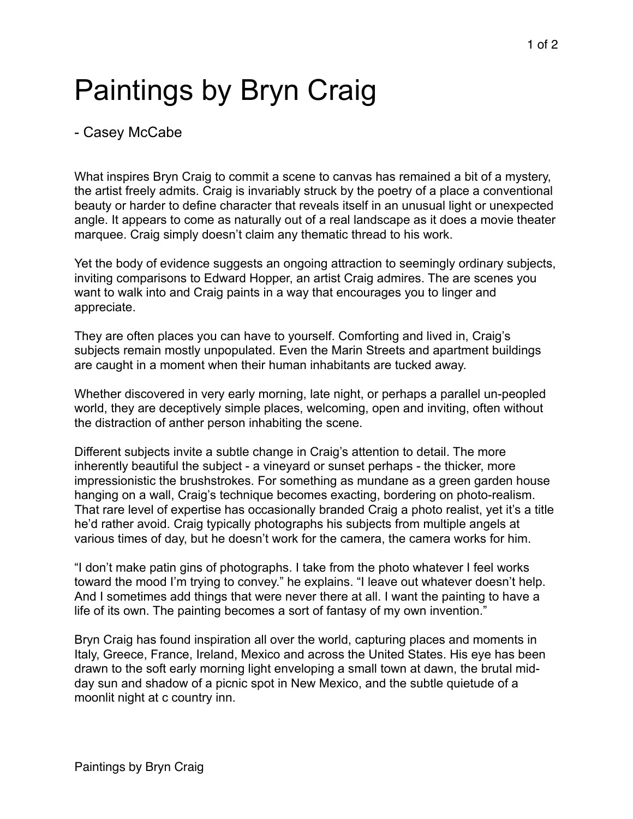## Paintings by Bryn Craig

- Casey McCabe

What inspires Bryn Craig to commit a scene to canvas has remained a bit of a mystery, the artist freely admits. Craig is invariably struck by the poetry of a place a conventional beauty or harder to define character that reveals itself in an unusual light or unexpected angle. It appears to come as naturally out of a real landscape as it does a movie theater marquee. Craig simply doesn't claim any thematic thread to his work.

Yet the body of evidence suggests an ongoing attraction to seemingly ordinary subjects, inviting comparisons to Edward Hopper, an artist Craig admires. The are scenes you want to walk into and Craig paints in a way that encourages you to linger and appreciate.

They are often places you can have to yourself. Comforting and lived in, Craig's subjects remain mostly unpopulated. Even the Marin Streets and apartment buildings are caught in a moment when their human inhabitants are tucked away.

Whether discovered in very early morning, late night, or perhaps a parallel un-peopled world, they are deceptively simple places, welcoming, open and inviting, often without the distraction of anther person inhabiting the scene.

Different subjects invite a subtle change in Craig's attention to detail. The more inherently beautiful the subject - a vineyard or sunset perhaps - the thicker, more impressionistic the brushstrokes. For something as mundane as a green garden house hanging on a wall, Craig's technique becomes exacting, bordering on photo-realism. That rare level of expertise has occasionally branded Craig a photo realist, yet it's a title he'd rather avoid. Craig typically photographs his subjects from multiple angels at various times of day, but he doesn't work for the camera, the camera works for him.

"I don't make patin gins of photographs. I take from the photo whatever I feel works toward the mood I'm trying to convey." he explains. "I leave out whatever doesn't help. And I sometimes add things that were never there at all. I want the painting to have a life of its own. The painting becomes a sort of fantasy of my own invention."

Bryn Craig has found inspiration all over the world, capturing places and moments in Italy, Greece, France, Ireland, Mexico and across the United States. His eye has been drawn to the soft early morning light enveloping a small town at dawn, the brutal midday sun and shadow of a picnic spot in New Mexico, and the subtle quietude of a moonlit night at c country inn.